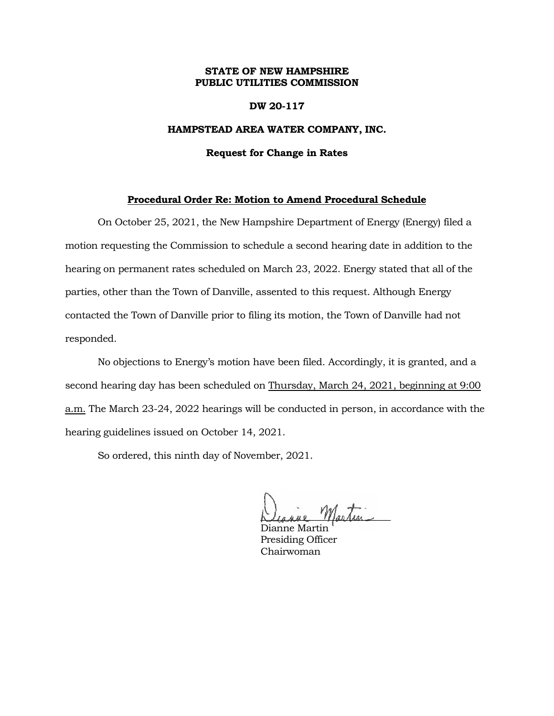## **STATE OF NEW HAMPSHIRE PUBLIC UTILITIES COMMISSION**

### **DW 20-117**

## **HAMPSTEAD AREA WATER COMPANY, INC.**

#### **Request for Change in Rates**

## **Procedural Order Re: Motion to Amend Procedural Schedule**

On October 25, 2021, the New Hampshire Department of Energy (Energy) filed a motion requesting the Commission to schedule a second hearing date in addition to the hearing on permanent rates scheduled on March 23, 2022. Energy stated that all of the parties, other than the Town of Danville, assented to this request. Although Energy contacted the Town of Danville prior to filing its motion, the Town of Danville had not responded.

No objections to Energy's motion have been filed. Accordingly, it is granted, and a second hearing day has been scheduled on Thursday, March 24, 2021, beginning at 9:00 a.m. The March 23-24, 2022 hearings will be conducted in person, in accordance with the hearing guidelines issued on October 14, 2021.

So ordered, this ninth day of November, 2021.

martin

Dianne Martin Presiding Officer Chairwoman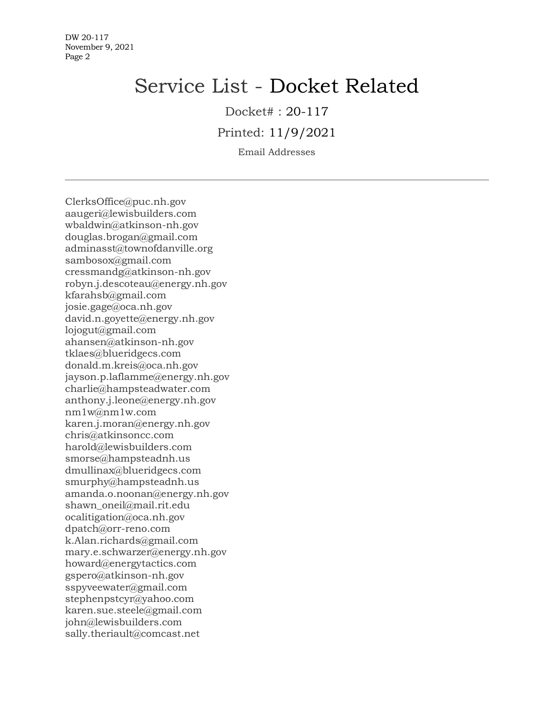# Service List - Docket Related

Docket# : 20-117

Printed: 11/9/2021

Email Addresses

ClerksOffice@puc.nh.gov aaugeri@lewisbuilders.com wbaldwin@atkinson-nh.gov douglas.brogan@gmail.com adminasst@townofdanville.org sambosox@gmail.com cressmandg@atkinson-nh.gov robyn.j.descoteau@energy.nh.gov kfarahsb@gmail.com josie.gage@oca.nh.gov david.n.goyette@energy.nh.gov lojogut@gmail.com ahansen@atkinson-nh.gov tklaes@blueridgecs.com donald.m.kreis@oca.nh.gov jayson.p.laflamme@energy.nh.gov charlie@hampsteadwater.com anthony.j.leone@energy.nh.gov nm1w@nm1w.com karen.j.moran@energy.nh.gov chris@atkinsoncc.com harold@lewisbuilders.com smorse@hampsteadnh.us dmullinax@blueridgecs.com smurphy@hampsteadnh.us amanda.o.noonan@energy.nh.gov shawn oneil@mail.rit.edu ocalitigation@oca.nh.gov dpatch@orr-reno.com k.Alan.richards@gmail.com mary.e.schwarzer@energy.nh.gov howard@energytactics.com gspero@atkinson-nh.gov sspyveewater@gmail.com stephenpstcyr@yahoo.com karen.sue.steele@gmail.com john@lewisbuilders.com sally.theriault@comcast.net